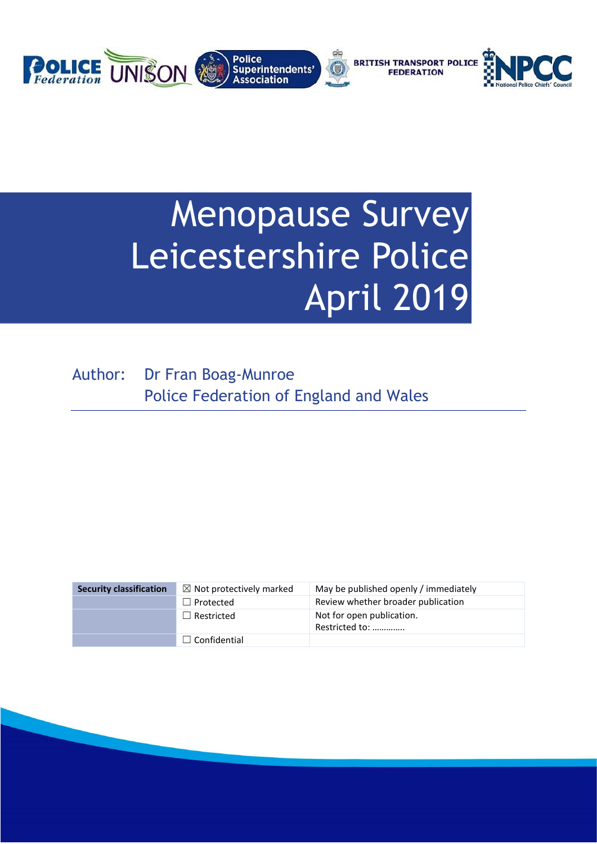

# Menopause Survey Leicestershire Police April 2019

Author: Dr Fran Boag-Munroe Police Federation of England and Wales

| <b>Security classification</b> | $\boxtimes$ Not protectively marked | May be published openly / immediately       |
|--------------------------------|-------------------------------------|---------------------------------------------|
|                                | $\Box$ Protected                    | Review whether broader publication          |
|                                | $\Box$ Restricted                   | Not for open publication.<br>Restricted to: |
|                                | $\Box$ Confidential                 |                                             |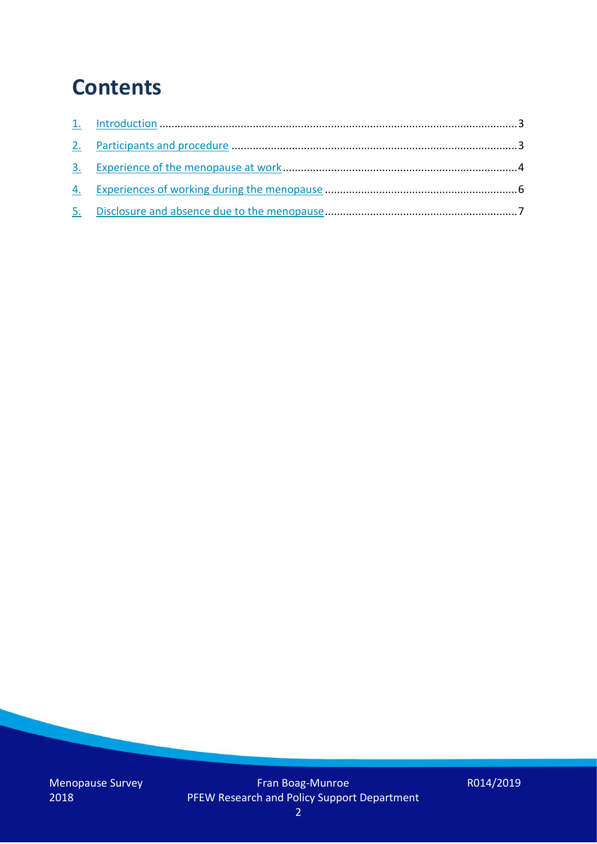### **Contents**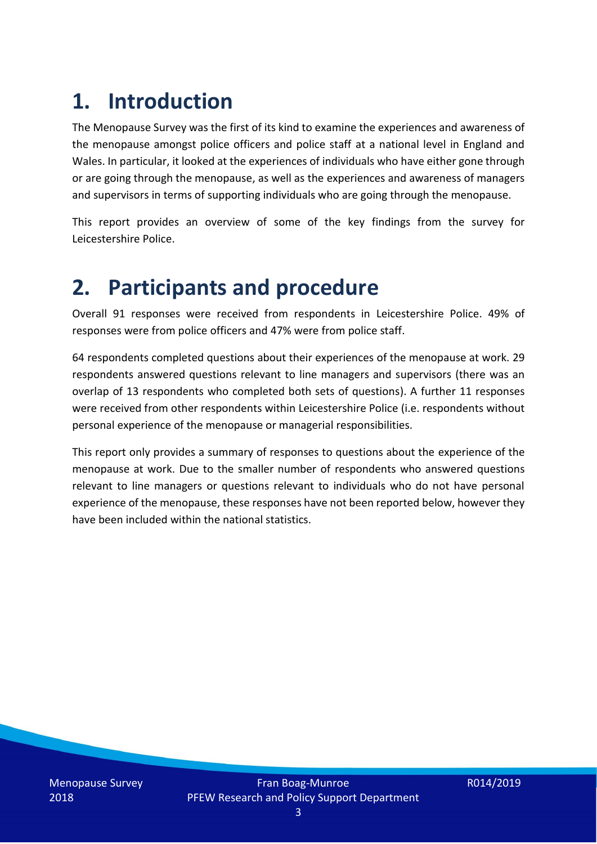# **1. Introduction**

The Menopause Survey was the first of its kind to examine the experiences and awareness of the menopause amongst police officers and police staff at a national level in England and Wales. In particular, it looked at the experiences of individuals who have either gone through or are going through the menopause, as well as the experiences and awareness of managers and supervisors in terms of supporting individuals who are going through the menopause.

This report provides an overview of some of the key findings from the survey for Leicestershire Police.

### **2. Participants and procedure**

Overall 91 responses were received from respondents in Leicestershire Police. 49% of responses were from police officers and 47% were from police staff.

64 respondents completed questions about their experiences of the menopause at work. 29 respondents answered questions relevant to line managers and supervisors (there was an overlap of 13 respondents who completed both sets of questions). A further 11 responses were received from other respondents within Leicestershire Police (i.e. respondents without personal experience of the menopause or managerial responsibilities.

This report only provides a summary of responses to questions about the experience of the menopause at work. Due to the smaller number of respondents who answered questions relevant to line managers or questions relevant to individuals who do not have personal experience of the menopause, these responses have not been reported below, however they have been included within the national statistics.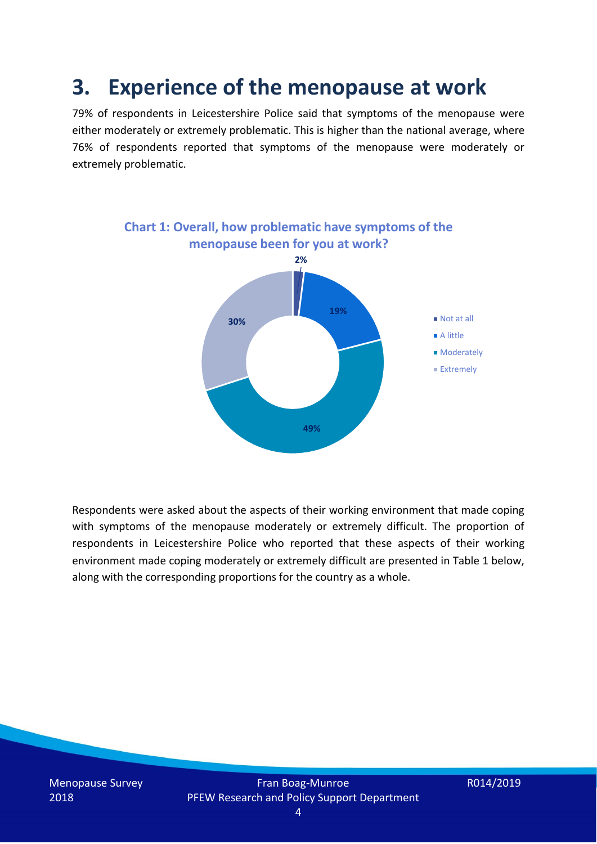### **3. Experience of the menopause at work**

79% of respondents in Leicestershire Police said that symptoms of the menopause were either moderately or extremely problematic. This is higher than the national average, where 76% of respondents reported that symptoms of the menopause were moderately or extremely problematic.



Respondents were asked about the aspects of their working environment that made coping with symptoms of the menopause moderately or extremely difficult. The proportion of respondents in Leicestershire Police who reported that these aspects of their working environment made coping moderately or extremely difficult are presented in Table 1 below, along with the corresponding proportions for the country as a whole.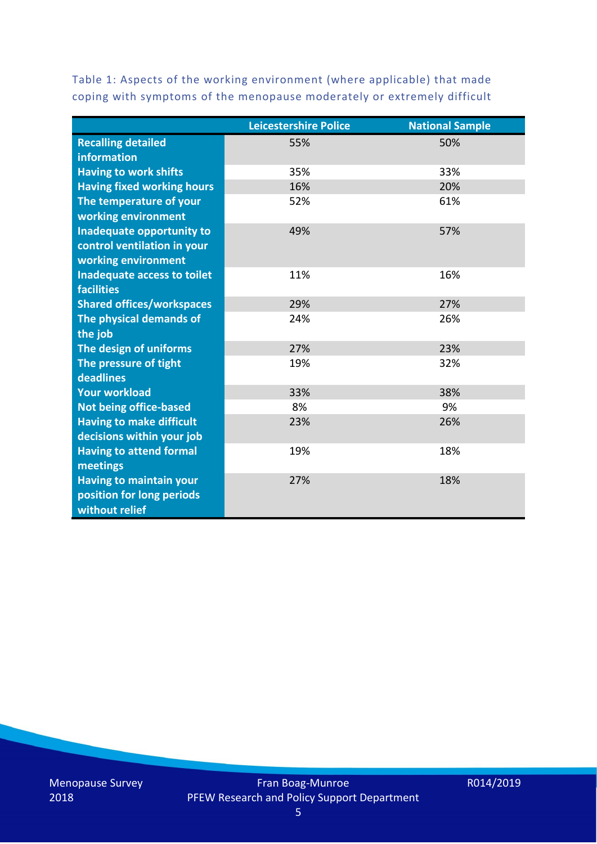Table 1: Aspects of the working environment (where applicable) that made coping with symptoms of the menopause moderately or extremely difficult

|                                   | <b>Leicestershire Police</b> | <b>National Sample</b> |
|-----------------------------------|------------------------------|------------------------|
| <b>Recalling detailed</b>         | 55%                          | 50%                    |
| information                       |                              |                        |
| <b>Having to work shifts</b>      | 35%                          | 33%                    |
| <b>Having fixed working hours</b> | 16%                          | 20%                    |
| The temperature of your           | 52%                          | 61%                    |
| working environment               |                              |                        |
| Inadequate opportunity to         | 49%                          | 57%                    |
| control ventilation in your       |                              |                        |
| working environment               |                              |                        |
| Inadequate access to toilet       | 11%                          | 16%                    |
| <b>facilities</b>                 |                              |                        |
| <b>Shared offices/workspaces</b>  | 29%                          | 27%                    |
| The physical demands of           | 24%                          | 26%                    |
| the job                           |                              |                        |
| The design of uniforms            | 27%                          | 23%                    |
| The pressure of tight             | 19%                          | 32%                    |
| deadlines                         |                              |                        |
| <b>Your workload</b>              | 33%                          | 38%                    |
| <b>Not being office-based</b>     | 8%                           | 9%                     |
| <b>Having to make difficult</b>   | 23%                          | 26%                    |
| decisions within your job         |                              |                        |
| <b>Having to attend formal</b>    | 19%                          | 18%                    |
| meetings                          |                              |                        |
| <b>Having to maintain your</b>    | 27%                          | 18%                    |
| position for long periods         |                              |                        |
| without relief                    |                              |                        |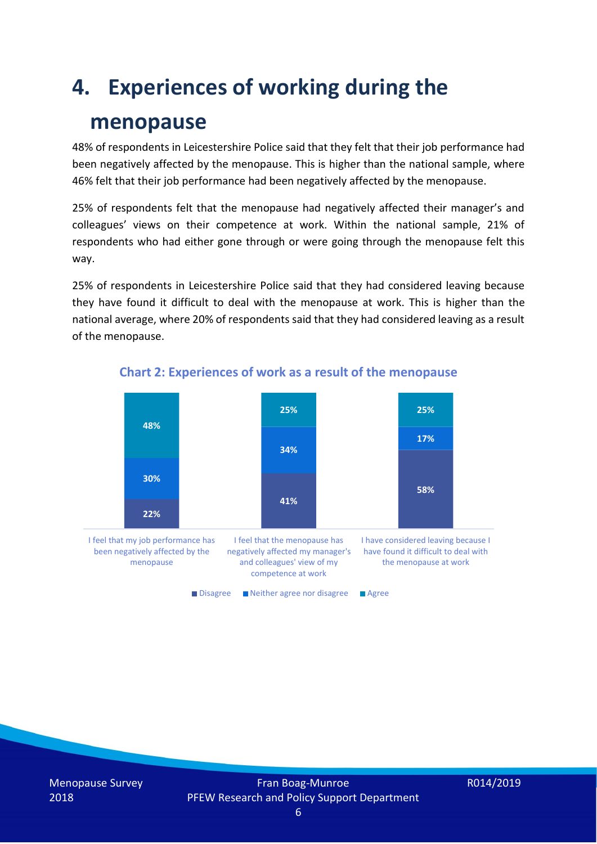### **4. Experiences of working during the**

### **menopause**

48% of respondents in Leicestershire Police said that they felt that their job performance had been negatively affected by the menopause. This is higher than the national sample, where 46% felt that their job performance had been negatively affected by the menopause.

25% of respondents felt that the menopause had negatively affected their manager's and colleagues' views on their competence at work. Within the national sample, 21% of respondents who had either gone through or were going through the menopause felt this way.

25% of respondents in Leicestershire Police said that they had considered leaving because they have found it difficult to deal with the menopause at work. This is higher than the national average, where 20% of respondents said that they had considered leaving as a result of the menopause.



#### **Chart 2: Experiences of work as a result of the menopause**